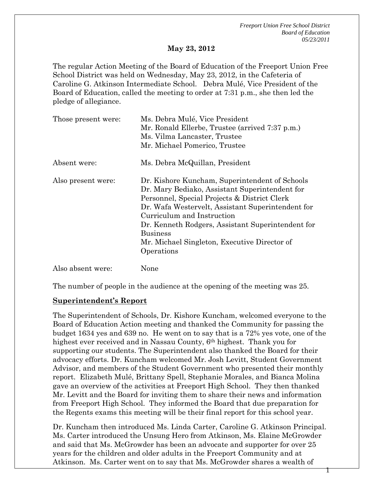*Freeport Union Free School District Board of Education 05/23/2011* 

1

#### **May 23, 2012**

The regular Action Meeting of the Board of Education of the Freeport Union Free School District was held on Wednesday, May 23, 2012, in the Cafeteria of Caroline G. Atkinson Intermediate School. Debra Mulé, Vice President of the Board of Education, called the meeting to order at 7:31 p.m., she then led the pledge of allegiance.

| Those present were: | Ms. Debra Mulé, Vice President                                                  |  |  |
|---------------------|---------------------------------------------------------------------------------|--|--|
|                     | Mr. Ronald Ellerbe, Trustee (arrived 7:37 p.m.)<br>Ms. Vilma Lancaster, Trustee |  |  |
|                     |                                                                                 |  |  |
|                     | Mr. Michael Pomerico, Trustee                                                   |  |  |
| Absent were:        | Ms. Debra McQuillan, President                                                  |  |  |
| Also present were:  | Dr. Kishore Kuncham, Superintendent of Schools                                  |  |  |
|                     | Dr. Mary Bediako, Assistant Superintendent for                                  |  |  |
|                     | Personnel, Special Projects & District Clerk                                    |  |  |
|                     | Dr. Wafa Westervelt, Assistant Superintendent for                               |  |  |
|                     | Curriculum and Instruction                                                      |  |  |
|                     | Dr. Kenneth Rodgers, Assistant Superintendent for                               |  |  |
|                     | <b>Business</b>                                                                 |  |  |
|                     | Mr. Michael Singleton, Executive Director of                                    |  |  |
|                     | Operations                                                                      |  |  |
| Also absent were:   | None                                                                            |  |  |

The number of people in the audience at the opening of the meeting was 25.

#### **Superintendent's Report**

The Superintendent of Schools, Dr. Kishore Kuncham, welcomed everyone to the Board of Education Action meeting and thanked the Community for passing the budget 1634 yes and 639 no. He went on to say that is a 72% yes vote, one of the highest ever received and in Nassau County, 6th highest. Thank you for supporting our students. The Superintendent also thanked the Board for their advocacy efforts. Dr. Kuncham welcomed Mr. Josh Levitt, Student Government Advisor, and members of the Student Government who presented their monthly report. Elizabeth Mulé, Brittany Spell, Stephanie Morales, and Bianca Molina gave an overview of the activities at Freeport High School. They then thanked Mr. Levitt and the Board for inviting them to share their news and information from Freeport High School. They informed the Board that due preparation for the Regents exams this meeting will be their final report for this school year.

Dr. Kuncham then introduced Ms. Linda Carter, Caroline G. Atkinson Principal. Ms. Carter introduced the Unsung Hero from Atkinson, Ms. Elaine McGrowder and said that Ms. McGrowder has been an advocate and supporter for over 25 years for the children and older adults in the Freeport Community and at Atkinson. Ms. Carter went on to say that Ms. McGrowder shares a wealth of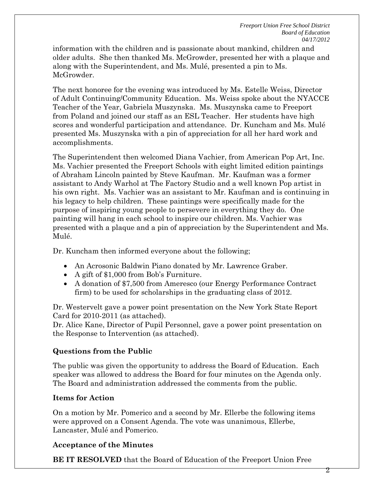information with the children and is passionate about mankind, children and older adults. She then thanked Ms. McGrowder, presented her with a plaque and along with the Superintendent, and Ms. Mulé, presented a pin to Ms. McGrowder.

The next honoree for the evening was introduced by Ms. Estelle Weiss, Director of Adult Continuing/Community Education. Ms. Weiss spoke about the NYACCE Teacher of the Year, Gabriela Muszynska. Ms. Muszynska came to Freeport from Poland and joined our staff as an ESL Teacher. Her students have high scores and wonderful participation and attendance. Dr. Kuncham and Ms. Mulé presented Ms. Muszynska with a pin of appreciation for all her hard work and accomplishments.

The Superintendent then welcomed Diana Vachier, from American Pop Art, Inc. Ms. Vachier presented the Freeport Schools with eight limited edition paintings of Abraham Lincoln painted by Steve Kaufman. Mr. Kaufman was a former assistant to Andy Warhol at The Factory Studio and a well known Pop artist in his own right. Ms. Vachier was an assistant to Mr. Kaufman and is continuing in his legacy to help children. These paintings were specifically made for the purpose of inspiring young people to persevere in everything they do. One painting will hang in each school to inspire our children. Ms. Vachier was presented with a plaque and a pin of appreciation by the Superintendent and Ms. Mulé.

Dr. Kuncham then informed everyone about the following;

- An Acrosonic Baldwin Piano donated by Mr. Lawrence Graber.
- A gift of \$1,000 from Bob's Furniture.
- A donation of \$7,500 from Ameresco (our Energy Performance Contract firm) to be used for scholarships in the graduating class of 2012.

Dr. Westervelt gave a power point presentation on the New York State Report Card for 2010-2011 (as attached).

Dr. Alice Kane, Director of Pupil Personnel, gave a power point presentation on the Response to Intervention (as attached).

# **Questions from the Public**

The public was given the opportunity to address the Board of Education. Each speaker was allowed to address the Board for four minutes on the Agenda only. The Board and administration addressed the comments from the public.

### **Items for Action**

On a motion by Mr. Pomerico and a second by Mr. Ellerbe the following items were approved on a Consent Agenda. The vote was unanimous, Ellerbe, Lancaster, Mulé and Pomerico.

### **Acceptance of the Minutes**

**BE IT RESOLVED** that the Board of Education of the Freeport Union Free

2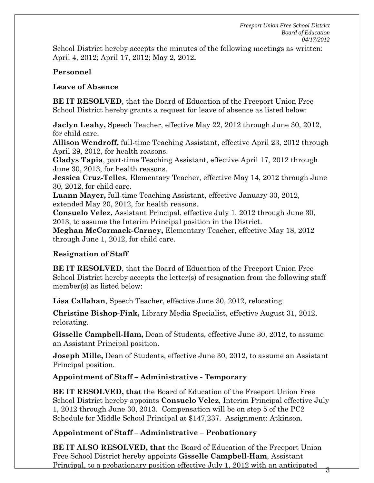School District hereby accepts the minutes of the following meetings as written: April 4, 2012; April 17, 2012; May 2, 2012**.** 

### **Personnel**

### **Leave of Absence**

**BE IT RESOLVED**, that the Board of Education of the Freeport Union Free School District hereby grants a request for leave of absence as listed below:

**Jaclyn Leahy,** Speech Teacher, effective May 22, 2012 through June 30, 2012, for child care.

**Allison Wendroff,** full-time Teaching Assistant, effective April 23, 2012 through April 29, 2012, for health reasons.

**Gladys Tapia**, part-time Teaching Assistant, effective April 17, 2012 through June 30, 2013, for health reasons.

**Jessica Cruz-Telles**, Elementary Teacher, effective May 14, 2012 through June 30, 2012, for child care.

**Luann Mayer,** full-time Teaching Assistant, effective January 30, 2012, extended May 20, 2012, for health reasons.

**Consuelo Velez,** Assistant Principal, effective July 1, 2012 through June 30, 2013, to assume the Interim Principal position in the District.

**Meghan McCormack-Carney,** Elementary Teacher, effective May 18, 2012 through June 1, 2012, for child care.

# **Resignation of Staff**

**BE IT RESOLVED**, that the Board of Education of the Freeport Union Free School District hereby accepts the letter(s) of resignation from the following staff member(s) as listed below:

**Lisa Callahan**, Speech Teacher, effective June 30, 2012, relocating.

**Christine Bishop-Fink,** Library Media Specialist, effective August 31, 2012, relocating.

**Gisselle Campbell-Ham,** Dean of Students, effective June 30, 2012, to assume an Assistant Principal position.

**Joseph Mille,** Dean of Students, effective June 30, 2012, to assume an Assistant Principal position.

# **Appointment of Staff – Administrative - Temporary**

**BE IT RESOLVED, that** the Board of Education of the Freeport Union Free School District hereby appoints **Consuelo Velez**, Interim Principal effective July 1, 2012 through June 30, 2013. Compensation will be on step 5 of the PC2 Schedule for Middle School Principal at \$147,237. Assignment: Atkinson.

# **Appointment of Staff – Administrative – Probationary**

**BE IT ALSO RESOLVED, that** the Board of Education of the Freeport Union Free School District hereby appoints **Gisselle Campbell-Ham**, Assistant Principal, to a probationary position effective July 1, 2012 with an anticipated

3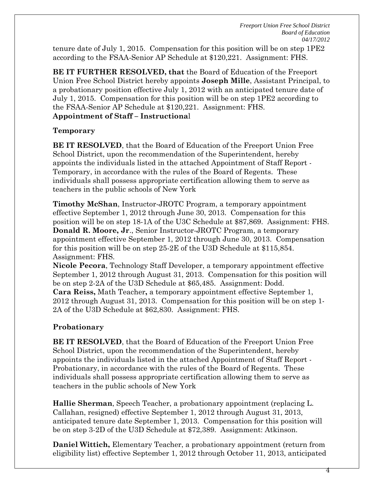*Freeport Union Free School District Board of Education 04/17/2012* 

4

tenure date of July 1, 2015. Compensation for this position will be on step 1PE2 according to the FSAA-Senior AP Schedule at \$120,221. Assignment: FHS.

**BE IT FURTHER RESOLVED, that** the Board of Education of the Freeport Union Free School District hereby appoints **Joseph Mille**, Assistant Principal, to a probationary position effective July 1, 2012 with an anticipated tenure date of July 1, 2015. Compensation for this position will be on step 1PE2 according to the FSAA-Senior AP Schedule at \$120,221. Assignment: FHS. **Appointment of Staff – Instructiona**l

#### **Temporary**

**BE IT RESOLVED**, that the Board of Education of the Freeport Union Free School District, upon the recommendation of the Superintendent, hereby appoints the individuals listed in the attached Appointment of Staff Report - Temporary, in accordance with the rules of the Board of Regents. These individuals shall possess appropriate certification allowing them to serve as teachers in the public schools of New York

**Timothy McShan**, Instructor-JROTC Program, a temporary appointment effective September 1, 2012 through June 30, 2013. Compensation for this position will be on step 18-1A of the U3C Schedule at \$87,869. Assignment: FHS. **Donald R. Moore, Jr**., Senior Instructor-JROTC Program, a temporary appointment effective September 1, 2012 through June 30, 2013. Compensation for this position will be on step 25-2E of the U3D Schedule at \$115,854. Assignment: FHS.

**Nicole Pecora**, Technology Staff Developer, a temporary appointment effective September 1, 2012 through August 31, 2013. Compensation for this position will be on step 2-2A of the U3D Schedule at \$65,485. Assignment: Dodd. **Cara Reiss,** Math Teacher**,** a temporary appointment effective September 1, 2012 through August 31, 2013. Compensation for this position will be on step 1- 2A of the U3D Schedule at \$62,830. Assignment: FHS.

#### **Probationary**

**BE IT RESOLVED**, that the Board of Education of the Freeport Union Free School District, upon the recommendation of the Superintendent, hereby appoints the individuals listed in the attached Appointment of Staff Report - Probationary, in accordance with the rules of the Board of Regents. These individuals shall possess appropriate certification allowing them to serve as teachers in the public schools of New York

**Hallie Sherman**, Speech Teacher, a probationary appointment (replacing L. Callahan, resigned) effective September 1, 2012 through August 31, 2013, anticipated tenure date September 1, 2013. Compensation for this position will be on step 3-2D of the U3D Schedule at \$72,389. Assignment: Atkinson.

**Daniel Wittich,** Elementary Teacher, a probationary appointment (return from eligibility list) effective September 1, 2012 through October 11, 2013, anticipated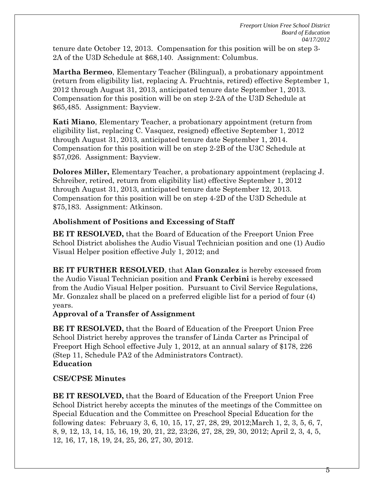tenure date October 12, 2013. Compensation for this position will be on step 3- 2A of the U3D Schedule at \$68,140. Assignment: Columbus.

**Martha Bermeo**, Elementary Teacher (Bilingual), a probationary appointment (return from eligibility list, replacing A. Fruchtnis, retired) effective September 1, 2012 through August 31, 2013, anticipated tenure date September 1, 2013. Compensation for this position will be on step 2-2A of the U3D Schedule at \$65,485. Assignment: Bayview.

**Kati Miano**, Elementary Teacher, a probationary appointment (return from eligibility list, replacing C. Vasquez, resigned) effective September 1, 2012 through August 31, 2013, anticipated tenure date September 1, 2014. Compensation for this position will be on step 2-2B of the U3C Schedule at \$57,026. Assignment: Bayview.

**Dolores Miller,** Elementary Teacher, a probationary appointment (replacing J. Schreiber, retired, return from eligibility list) effective September 1, 2012 through August 31, 2013, anticipated tenure date September 12, 2013. Compensation for this position will be on step 4-2D of the U3D Schedule at \$75,183. Assignment: Atkinson.

## **Abolishment of Positions and Excessing of Staff**

**BE IT RESOLVED,** that the Board of Education of the Freeport Union Free School District abolishes the Audio Visual Technician position and one (1) Audio Visual Helper position effective July 1, 2012; and

**BE IT FURTHER RESOLVED**, that **Alan Gonzalez** is hereby excessed from the Audio Visual Technician position and **Frank Cerbini** is hereby excessed from the Audio Visual Helper position. Pursuant to Civil Service Regulations, Mr. Gonzalez shall be placed on a preferred eligible list for a period of four (4) years.

### **Approval of a Transfer of Assignment**

**BE IT RESOLVED,** that the Board of Education of the Freeport Union Free School District hereby approves the transfer of Linda Carter as Principal of Freeport High School effective July 1, 2012, at an annual salary of \$178, 226 (Step 11, Schedule PA2 of the Administrators Contract). **Education**

# **CSE/CPSE Minutes**

**BE IT RESOLVED,** that the Board of Education of the Freeport Union Free School District hereby accepts the minutes of the meetings of the Committee on Special Education and the Committee on Preschool Special Education for the following dates: February 3, 6, 10, 15, 17, 27, 28, 29, 2012;March 1, 2, 3, 5, 6, 7, 8, 9, 12, 13, 14, 15, 16, 19, 20, 21, 22, 23;26, 27, 28, 29, 30, 2012; April 2, 3, 4, 5, 12, 16, 17, 18, 19, 24, 25, 26, 27, 30, 2012.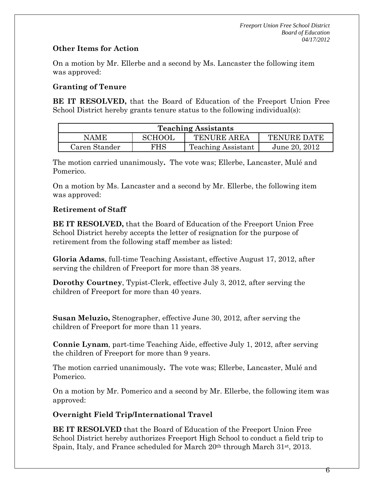## **Other Items for Action**

On a motion by Mr. Ellerbe and a second by Ms. Lancaster the following item was approved:

## **Granting of Tenure**

**BE IT RESOLVED,** that the Board of Education of the Freeport Union Free School District hereby grants tenure status to the following individual(s):

| <b>Teaching Assistants</b> |               |                           |                    |  |
|----------------------------|---------------|---------------------------|--------------------|--|
| <b>NAME</b>                | <b>SCHOOL</b> | <b>TENURE AREA</b>        | <b>TENURE DATE</b> |  |
| Caren Stander              | FHS           | <b>Teaching Assistant</b> | June 20, 2012      |  |

The motion carried unanimously**.** The vote was; Ellerbe, Lancaster, Mulé and Pomerico.

On a motion by Ms. Lancaster and a second by Mr. Ellerbe, the following item was approved:

## **Retirement of Staff**

**BE IT RESOLVED,** that the Board of Education of the Freeport Union Free School District hereby accepts the letter of resignation for the purpose of retirement from the following staff member as listed:

**Gloria Adams**, full-time Teaching Assistant, effective August 17, 2012, after serving the children of Freeport for more than 38 years.

**Dorothy Courtney**, Typist-Clerk, effective July 3, 2012, after serving the children of Freeport for more than 40 years.

**Susan Meluzio,** Stenographer, effective June 30, 2012, after serving the children of Freeport for more than 11 years.

**Connie Lynam**, part-time Teaching Aide, effective July 1, 2012, after serving the children of Freeport for more than 9 years.

The motion carried unanimously**.** The vote was; Ellerbe, Lancaster, Mulé and Pomerico.

On a motion by Mr. Pomerico and a second by Mr. Ellerbe, the following item was approved:

### **Overnight Field Trip/International Travel**

**BE IT RESOLVED** that the Board of Education of the Freeport Union Free School District hereby authorizes Freeport High School to conduct a field trip to Spain, Italy, and France scheduled for March  $20<sup>th</sup>$  through March  $31<sup>st</sup>$ ,  $2013$ .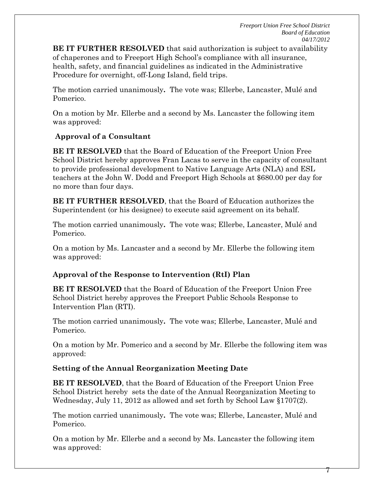*Freeport Union Free School District Board of Education 04/17/2012* 

**BE IT FURTHER RESOLVED** that said authorization is subject to availability of chaperones and to Freeport High School's compliance with all insurance, health, safety, and financial guidelines as indicated in the Administrative Procedure for overnight, off-Long Island, field trips.

The motion carried unanimously**.** The vote was; Ellerbe, Lancaster, Mulé and Pomerico.

On a motion by Mr. Ellerbe and a second by Ms. Lancaster the following item was approved:

### **Approval of a Consultant**

**BE IT RESOLVED** that the Board of Education of the Freeport Union Free School District hereby approves Fran Lacas to serve in the capacity of consultant to provide professional development to Native Language Arts (NLA) and ESL teachers at the John W. Dodd and Freeport High Schools at \$680.00 per day for no more than four days.

**BE IT FURTHER RESOLVED**, that the Board of Education authorizes the Superintendent (or his designee) to execute said agreement on its behalf.

The motion carried unanimously**.** The vote was; Ellerbe, Lancaster, Mulé and Pomerico.

On a motion by Ms. Lancaster and a second by Mr. Ellerbe the following item was approved:

### **Approval of the Response to Intervention (RtI) Plan**

**BE IT RESOLVED** that the Board of Education of the Freeport Union Free School District hereby approves the Freeport Public Schools Response to Intervention Plan (RTI).

The motion carried unanimously**.** The vote was; Ellerbe, Lancaster, Mulé and Pomerico.

On a motion by Mr. Pomerico and a second by Mr. Ellerbe the following item was approved:

#### **Setting of the Annual Reorganization Meeting Date**

**BE IT RESOLVED**, that the Board of Education of the Freeport Union Free School District hereby sets the date of the Annual Reorganization Meeting to Wednesday, July 11, 2012 as allowed and set forth by School Law §1707(2).

The motion carried unanimously**.** The vote was; Ellerbe, Lancaster, Mulé and Pomerico.

On a motion by Mr. Ellerbe and a second by Ms. Lancaster the following item was approved: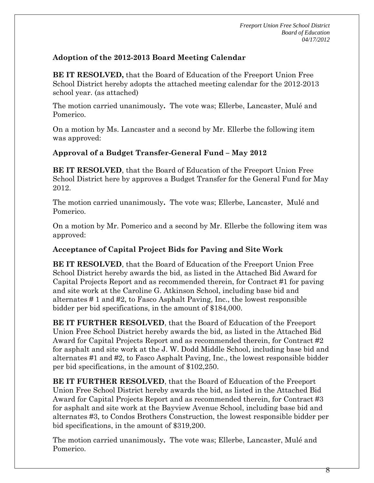## **Adoption of the 2012-2013 Board Meeting Calendar**

**BE IT RESOLVED,** that the Board of Education of the Freeport Union Free School District hereby adopts the attached meeting calendar for the 2012-2013 school year. (as attached)

The motion carried unanimously**.** The vote was; Ellerbe, Lancaster, Mulé and Pomerico.

On a motion by Ms. Lancaster and a second by Mr. Ellerbe the following item was approved:

### **Approval of a Budget Transfer-General Fund – May 2012**

**BE IT RESOLVED**, that the Board of Education of the Freeport Union Free School District here by approves a Budget Transfer for the General Fund for May 2012.

The motion carried unanimously**.** The vote was; Ellerbe, Lancaster, Mulé and Pomerico.

On a motion by Mr. Pomerico and a second by Mr. Ellerbe the following item was approved:

### **Acceptance of Capital Project Bids for Paving and Site Work**

**BE IT RESOLVED**, that the Board of Education of the Freeport Union Free School District hereby awards the bid, as listed in the Attached Bid Award for Capital Projects Report and as recommended therein, for Contract #1 for paving and site work at the Caroline G. Atkinson School, including base bid and alternates # 1 and #2, to Fasco Asphalt Paving, Inc., the lowest responsible bidder per bid specifications, in the amount of \$184,000.

**BE IT FURTHER RESOLVED**, that the Board of Education of the Freeport Union Free School District hereby awards the bid, as listed in the Attached Bid Award for Capital Projects Report and as recommended therein, for Contract #2 for asphalt and site work at the J. W. Dodd Middle School, including base bid and alternates #1 and #2, to Fasco Asphalt Paving, Inc., the lowest responsible bidder per bid specifications, in the amount of \$102,250.

**BE IT FURTHER RESOLVED**, that the Board of Education of the Freeport Union Free School District hereby awards the bid, as listed in the Attached Bid Award for Capital Projects Report and as recommended therein, for Contract #3 for asphalt and site work at the Bayview Avenue School, including base bid and alternates #3, to Condos Brothers Construction, the lowest responsible bidder per bid specifications, in the amount of \$319,200.

The motion carried unanimously**.** The vote was; Ellerbe, Lancaster, Mulé and Pomerico.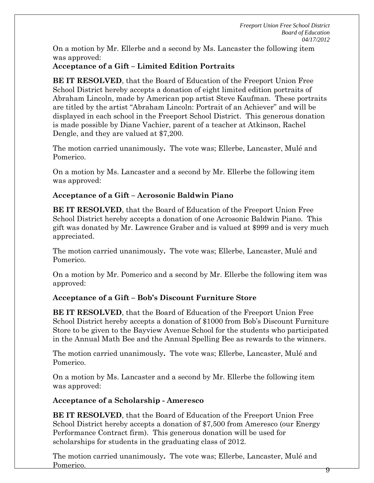On a motion by Mr. Ellerbe and a second by Ms. Lancaster the following item was approved:

## **Acceptance of a Gift – Limited Edition Portraits**

**BE IT RESOLVED**, that the Board of Education of the Freeport Union Free School District hereby accepts a donation of eight limited edition portraits of Abraham Lincoln, made by American pop artist Steve Kaufman. These portraits are titled by the artist "Abraham Lincoln: Portrait of an Achiever" and will be displayed in each school in the Freeport School District. This generous donation is made possible by Diane Vachier, parent of a teacher at Atkinson, Rachel Dengle, and they are valued at \$7,200.

The motion carried unanimously**.** The vote was; Ellerbe, Lancaster, Mulé and Pomerico.

On a motion by Ms. Lancaster and a second by Mr. Ellerbe the following item was approved:

### **Acceptance of a Gift – Acrosonic Baldwin Piano**

**BE IT RESOLVED**, that the Board of Education of the Freeport Union Free School District hereby accepts a donation of one Acrosonic Baldwin Piano. This gift was donated by Mr. Lawrence Graber and is valued at \$999 and is very much appreciated.

The motion carried unanimously**.** The vote was; Ellerbe, Lancaster, Mulé and Pomerico.

On a motion by Mr. Pomerico and a second by Mr. Ellerbe the following item was approved:

### **Acceptance of a Gift – Bob's Discount Furniture Store**

**BE IT RESOLVED**, that the Board of Education of the Freeport Union Free School District hereby accepts a donation of \$1000 from Bob's Discount Furniture Store to be given to the Bayview Avenue School for the students who participated in the Annual Math Bee and the Annual Spelling Bee as rewards to the winners.

The motion carried unanimously**.** The vote was; Ellerbe, Lancaster, Mulé and Pomerico.

On a motion by Ms. Lancaster and a second by Mr. Ellerbe the following item was approved:

### **Acceptance of a Scholarship - Ameresco**

**BE IT RESOLVED**, that the Board of Education of the Freeport Union Free School District hereby accepts a donation of \$7,500 from Ameresco (our Energy Performance Contract firm). This generous donation will be used for scholarships for students in the graduating class of 2012.

The motion carried unanimously**.** The vote was; Ellerbe, Lancaster, Mulé and Pomerico.

9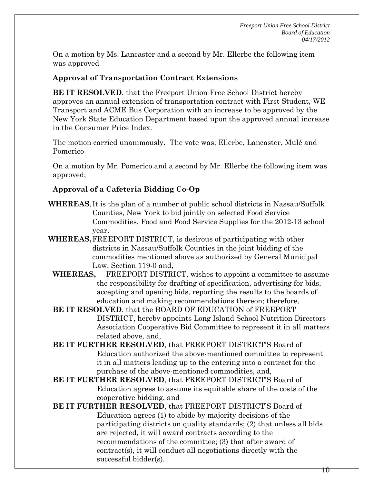On a motion by Ms. Lancaster and a second by Mr. Ellerbe the following item was approved

### **Approval of Transportation Contract Extensions**

**BE IT RESOLVED**, that the Freeport Union Free School District hereby approves an annual extension of transportation contract with First Student, WE Transport and ACME Bus Corporation with an increase to be approved by the New York State Education Department based upon the approved annual increase in the Consumer Price Index.

The motion carried unanimously**.** The vote was; Ellerbe, Lancaster, Mulé and Pomerico

On a motion by Mr. Pomerico and a second by Mr. Ellerbe the following item was approved;

# **Approval of a Cafeteria Bidding Co-Op**

- **WHEREAS**, It is the plan of a number of public school districts in Nassau/Suffolk Counties, New York to bid jointly on selected Food Service Commodities, Food and Food Service Supplies for the 2012-13 school year.
- **WHEREAS,** FREEPORT DISTRICT, is desirous of participating with other districts in Nassau/Suffolk Counties in the joint bidding of the commodities mentioned above as authorized by General Municipal Law, Section 119-0 and,
	- **WHEREAS,** FREEPORT DISTRICT, wishes to appoint a committee to assume the responsibility for drafting of specification, advertising for bids, accepting and opening bids, reporting the results to the boards of education and making recommendations thereon; therefore,
	- **BE IT RESOLVED**, that the BOARD OF EDUCATION of FREEPORT DISTRICT, hereby appoints Long Island School Nutrition Directors Association Cooperative Bid Committee to represent it in all matters related above, and,
	- **BE IT FURTHER RESOLVED**, that FREEPORT DISTRICT'S Board of Education authorized the above-mentioned committee to represent it in all matters leading up to the entering into a contract for the purchase of the above-mentioned commodities, and,
	- **BE IT FURTHER RESOLVED**, that FREEPORT DISTRICT'S Board of Education agrees to assume its equitable share of the costs of the cooperative bidding, and
	- **BE IT FURTHER RESOLVED**, that FREEPORT DISTRICT'S Board of Education agrees (1) to abide by majority decisions of the participating districts on quality standards; (2) that unless all bids are rejected, it will award contracts according to the recommendations of the committee; (3) that after award of contract(s), it will conduct all negotiations directly with the successful bidder(s).